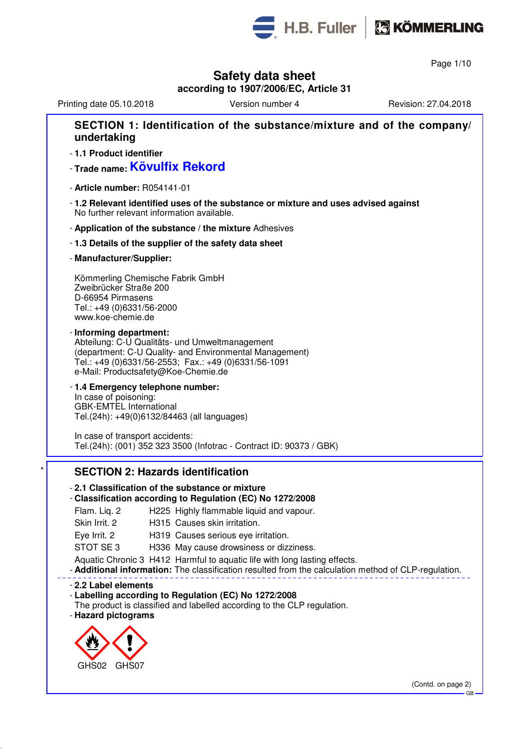

Page 1/10

## **Safety data sheet**

**according to 1907/2006/EC, Article 31**

## Printing date 05.10.2018 **Version number 4** Revision: 27.04.2018 **SECTION 1: Identification of the substance/mixture and of the company/ undertaking** - **1.1 Product identifier** - **Trade name: Kövulfix Rekord** - **Article number:** R054141-01 - **1.2 Relevant identified uses of the substance or mixture and uses advised against** No further relevant information available. - **Application of the substance / the mixture** Adhesives - **1.3 Details of the supplier of the safety data sheet** - **Manufacturer/Supplier:** Kömmerling Chemische Fabrik GmbH Zweibrücker Straße 200 D-66954 Pirmasens Tel.: +49 (0)6331/56-2000 www.koe-chemie.de - **Informing department:** Abteilung: C-U Qualitäts- und Umweltmanagement (department: C-U Quality- and Environmental Management) Tel.: +49 (0)6331/56-2553; Fax.: +49 (0)6331/56-1091 e-Mail: Productsafety@Koe-Chemie.de - **1.4 Emergency telephone number:** In case of poisoning: GBK-EMTEL International Tel.(24h): +49(0)6132/84463 (all languages) In case of transport accidents: Tel.(24h): (001) 352 323 3500 (Infotrac - Contract ID: 90373 / GBK) **SECTION 2: Hazards identification** - **2.1 Classification of the substance or mixture** - **Classification according to Regulation (EC) No 1272/2008** Flam. Liq. 2 H225 Highly flammable liquid and vapour. Skin Irrit. 2 H315 Causes skin irritation. Eye Irrit. 2 H319 Causes serious eye irritation.

STOT SE 3 H336 May cause drowsiness or dizziness.

Aquatic Chronic 3 H412 Harmful to aquatic life with long lasting effects.

- **Additional information:** The classification resulted from the calculation method of CLP-regulation.

#### - **2.2 Label elements**

- **Labelling according to Regulation (EC) No 1272/2008**

The product is classified and labelled according to the CLP regulation.

- **Hazard pictograms**

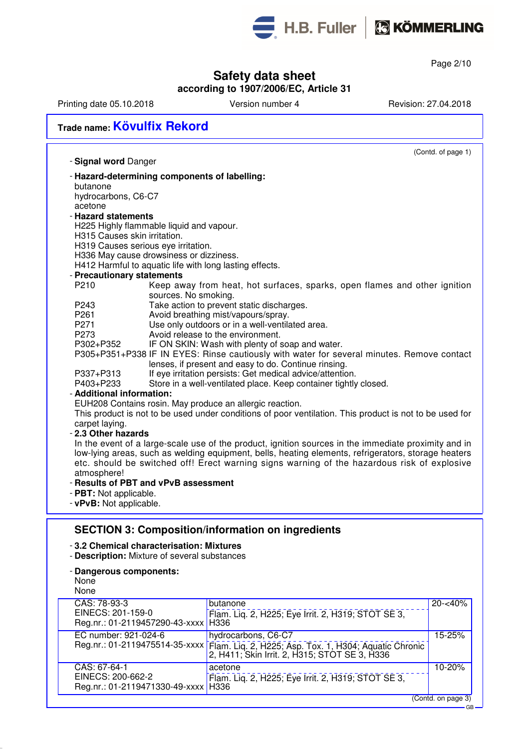

Page 2/10

GB

## **Safety data sheet**

#### **according to 1907/2006/EC, Article 31**

Printing date 05.10.2018 Version number 4 Revision: 27.04.2018

# **Trade name: Kövulfix Rekord**

|                              | (Contd. of page 1)                                                                                                |
|------------------------------|-------------------------------------------------------------------------------------------------------------------|
| - Signal word Danger         |                                                                                                                   |
|                              | - Hazard-determining components of labelling:                                                                     |
| butanone                     |                                                                                                                   |
| hydrocarbons, C6-C7          |                                                                                                                   |
| acetone                      |                                                                                                                   |
| - Hazard statements          |                                                                                                                   |
|                              | H225 Highly flammable liquid and vapour.                                                                          |
| H315 Causes skin irritation. |                                                                                                                   |
|                              | H319 Causes serious eye irritation.                                                                               |
|                              | H336 May cause drowsiness or dizziness.                                                                           |
|                              | H412 Harmful to aquatic life with long lasting effects.                                                           |
| - Precautionary statements   |                                                                                                                   |
| P210                         | Keep away from heat, hot surfaces, sparks, open flames and other ignition                                         |
|                              | sources. No smoking.                                                                                              |
| P243                         | Take action to prevent static discharges.                                                                         |
| P261                         | Avoid breathing mist/vapours/spray.                                                                               |
| P271                         | Use only outdoors or in a well-ventilated area.                                                                   |
| P273                         | Avoid release to the environment.                                                                                 |
| P302+P352                    | IF ON SKIN: Wash with plenty of soap and water.                                                                   |
|                              | P305+P351+P338 IF IN EYES: Rinse cautiously with water for several minutes. Remove contact                        |
| P337+P313                    | lenses, if present and easy to do. Continue rinsing.<br>If eye irritation persists: Get medical advice/attention. |
| P403+P233                    | Store in a well-ventilated place. Keep container tightly closed.                                                  |
| - Additional information:    |                                                                                                                   |
|                              | EUH208 Contains rosin. May produce an allergic reaction.                                                          |
|                              | This product is not to be used under conditions of poor ventilation. This product is not to be used for           |
| carpet laying.               |                                                                                                                   |
| - 2.3 Other hazards          |                                                                                                                   |
|                              | In the event of a large-scale use of the product, ignition sources in the immediate proximity and in              |
|                              | low-lying areas, such as welding equipment, bells, heating elements, refrigerators, storage heaters               |
|                              | etc. should be switched off! Erect warning signs warning of the hazardous risk of explosive                       |
| atmosphere!                  |                                                                                                                   |
|                              | - Results of PBT and vPvB assessment                                                                              |
| - PBT: Not applicable.       |                                                                                                                   |
| - vPvB: Not applicable.      |                                                                                                                   |

### **SECTION 3: Composition/information on ingredients**

#### - **3.2 Chemical characterisation: Mixtures**

- **Description:** Mixture of several substances
- **Dangerous components:**

| None<br>None                                               |                                                                                                         |                    |
|------------------------------------------------------------|---------------------------------------------------------------------------------------------------------|--------------------|
| CAS: 78-93-3<br>EINECS: 201-159-0                          | butanone<br>Flam. Lig. 2, H225; Eye Irrit. 2, H319; STOT SE 3,                                          | $20 - 40%$         |
| Reg.nr.: 01-2119457290-43-xxxx   H336                      |                                                                                                         |                    |
| EC number: 921-024-6                                       | hydrocarbons, C6-C7                                                                                     | 15-25%             |
| Reg.nr.: 01-2119475514-35-xxxx                             | Flam. Liq. 2, H225; Asp. Tox. 1, H304; Aquatic Chronic<br>2, H411; Skin Irrit. 2, H315; STOT SE 3, H336 |                    |
| CAS: 67-64-1                                               | acetone                                                                                                 | 10-20%             |
| EINECS: 200-662-2<br>Reg.nr.: 01-2119471330-49-xxxx   H336 | Flam. Liq. 2, H225; Eye Irrit. 2, H319; STOT SE 3,                                                      |                    |
|                                                            |                                                                                                         | (Contd. on page 3) |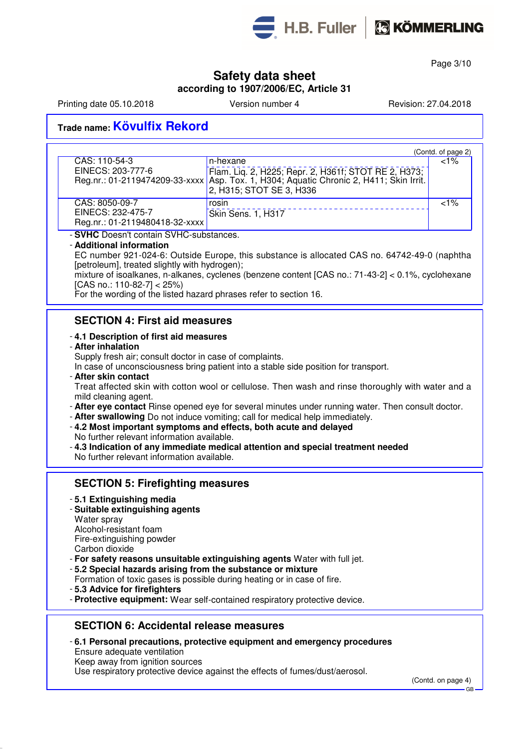

Page 3/10

### **Safety data sheet**

**according to 1907/2006/EC, Article 31**

Printing date 05.10.2018 **Version number 4** Revision: 27.04.2018

## **Trade name: Kövulfix Rekord**

|                                                                                                                    | (Contd. of page 2) |
|--------------------------------------------------------------------------------------------------------------------|--------------------|
| CAS: 110-54-3<br>n-hexane                                                                                          | $< 1\%$            |
| EINECS: 203-777-6<br>Flam. Liq. 2, H225; Repr. 2, H361f; STOT RE 2, H373;                                          |                    |
| Reg.nr.: 01-2119474209-33-xxxx Asp. Tox. 1, H304; Aquatic Chronic 2, H411; Skin Irrit.<br>2, H315; STOT SE 3, H336 |                    |
| CAS: 8050-09-7<br>rosin                                                                                            | ${<}1\%$           |
| EINECS: 232-475-7<br>Skin Sens. 1, H317                                                                            |                    |
| Reg.nr.: 01-2119480418-32-xxxx                                                                                     |                    |

- **SVHC** Doesn't contain SVHC-substances.

#### - **Additional information**

EC number 921-024-6: Outside Europe, this substance is allocated CAS no. 64742-49-0 (naphtha [petroleum], treated slightly with hydrogen);

mixture of isoalkanes, n-alkanes, cyclenes (benzene content [CAS no.: 71-43-2] < 0.1%, cyclohexane [CAS no.: 110-82-7] < 25%)

For the wording of the listed hazard phrases refer to section 16.

### **SECTION 4: First aid measures**

#### - **4.1 Description of first aid measures**

- **After inhalation**

Supply fresh air; consult doctor in case of complaints.

In case of unconsciousness bring patient into a stable side position for transport.

- **After skin contact** Treat affected skin with cotton wool or cellulose. Then wash and rinse thoroughly with water and a mild cleaning agent.
- **After eye contact** Rinse opened eye for several minutes under running water. Then consult doctor.
- **After swallowing** Do not induce vomiting; call for medical help immediately.
- **4.2 Most important symptoms and effects, both acute and delayed**
- No further relevant information available.
- **4.3 Indication of any immediate medical attention and special treatment needed** No further relevant information available.

#### **SECTION 5: Firefighting measures**

- **5.1 Extinguishing media**
- **Suitable extinguishing agents** Water spray Alcohol-resistant foam Fire-extinguishing powder Carbon dioxide
- **For safety reasons unsuitable extinguishing agents** Water with full jet.
- **5.2 Special hazards arising from the substance or mixture**
- Formation of toxic gases is possible during heating or in case of fire.
- **5.3 Advice for firefighters**
- **Protective equipment:** Wear self-contained respiratory protective device.

### **SECTION 6: Accidental release measures**

- **6.1 Personal precautions, protective equipment and emergency procedures** Ensure adequate ventilation Keep away from ignition sources
- 

Use respiratory protective device against the effects of fumes/dust/aerosol.

(Contd. on page 4)

GB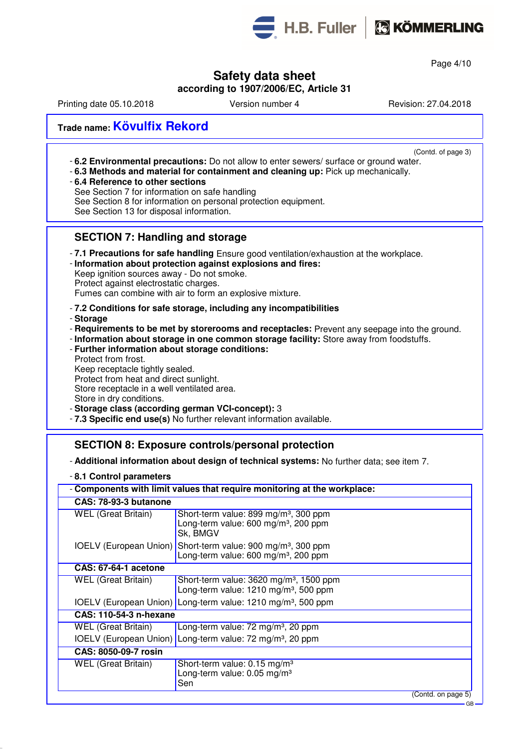

H.B. Fuller | C KÖMMERLING

Page 4/10

## **Safety data sheet**

### **according to 1907/2006/EC, Article 31**

Printing date 05.10.2018 **Version number 4** Revision: 27.04.2018

## **Trade name: Kövulfix Rekord**

(Contd. of page 3)

- **6.2 Environmental precautions:** Do not allow to enter sewers/ surface or ground water.
- **6.3 Methods and material for containment and cleaning up:** Pick up mechanically.
- **6.4 Reference to other sections**

See Section 7 for information on safe handling

See Section 8 for information on personal protection equipment.

### **SECTION 7: Handling and storage**

- **7.1 Precautions for safe handling** Ensure good ventilation/exhaustion at the workplace.

- **Information about protection against explosions and fires:** Keep ignition sources away - Do not smoke. Protect against electrostatic charges.

Fumes can combine with air to form an explosive mixture.

#### - **7.2 Conditions for safe storage, including any incompatibilities**

- **Storage**
- **Requirements to be met by storerooms and receptacles:** Prevent any seepage into the ground.
- **Information about storage in one common storage facility:** Store away from foodstuffs.
- **Further information about storage conditions:** Protect from frost. Keep receptacle tightly sealed. Protect from heat and direct sunlight. Store receptacle in a well ventilated area. Store in dry conditions. - **Storage class (according german VCI-concept):** 3
- **7.3 Specific end use(s)** No further relevant information available.

### **SECTION 8: Exposure controls/personal protection**

#### - **Additional information about design of technical systems:** No further data; see item 7.

- **8.1 Control parameters**

| - Components with limit values that require monitoring at the workplace: |                                                                                                                              |  |  |
|--------------------------------------------------------------------------|------------------------------------------------------------------------------------------------------------------------------|--|--|
| CAS: 78-93-3 butanone                                                    |                                                                                                                              |  |  |
| <b>WEL</b> (Great Britain)                                               | Short-term value: 899 mg/m <sup>3</sup> , 300 ppm<br>Long-term value: 600 mg/m <sup>3</sup> , 200 ppm<br>Sk, BMGV            |  |  |
|                                                                          | IOELV (European Union) Short-term value: 900 mg/m <sup>3</sup> , 300 ppm<br>Long-term value: 600 mg/m <sup>3</sup> , 200 ppm |  |  |
| <b>CAS: 67-64-1 acetone</b>                                              |                                                                                                                              |  |  |
| <b>WEL (Great Britain)</b>                                               | Short-term value: $3620$ mg/m <sup>3</sup> , 1500 ppm<br>Long-term value: 1210 mg/m <sup>3</sup> , 500 ppm                   |  |  |
|                                                                          | IOELV (European Union) Long-term value: 1210 mg/m <sup>3</sup> , 500 ppm                                                     |  |  |
| <b>CAS: 110-54-3 n-hexane</b>                                            |                                                                                                                              |  |  |
| <b>WEL (Great Britain)</b>                                               | Long-term value: 72 mg/m <sup>3</sup> , 20 ppm                                                                               |  |  |
|                                                                          | IOELV (European Union) Long-term value: 72 mg/m <sup>3</sup> , 20 ppm                                                        |  |  |
| CAS: 8050-09-7 rosin                                                     |                                                                                                                              |  |  |
| <b>WEL (Great Britain)</b>                                               | Short-term value: $0.15 \text{ mg/m}^3$<br>Long-term value: 0.05 mg/m <sup>3</sup><br>Sen                                    |  |  |
|                                                                          | (Contd. on page 5)<br>$-$ CP                                                                                                 |  |  |

See Section 13 for disposal information.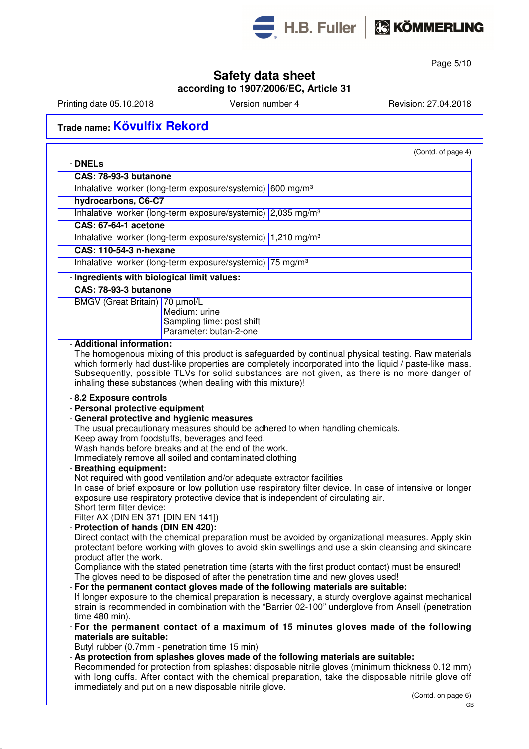



Page 5/10

### **Safety data sheet**

#### **according to 1907/2006/EC, Article 31**

Printing date 05.10.2018 **Version number 4** Revision: 27.04.2018

- **DNELs**

## **Trade name: Kövulfix Rekord**

(Contd. of page 4)

| UNELS                                                                                                                                                                                                                                                                                                                                     |
|-------------------------------------------------------------------------------------------------------------------------------------------------------------------------------------------------------------------------------------------------------------------------------------------------------------------------------------------|
| CAS: 78-93-3 butanone                                                                                                                                                                                                                                                                                                                     |
| Inhalative   worker (long-term exposure/systemic) 600 mg/m <sup>3</sup>                                                                                                                                                                                                                                                                   |
| hydrocarbons, C6-C7                                                                                                                                                                                                                                                                                                                       |
| Inhalative   worker (long-term exposure/systemic)   2,035 mg/m <sup>3</sup>                                                                                                                                                                                                                                                               |
| <b>CAS: 67-64-1 acetone</b>                                                                                                                                                                                                                                                                                                               |
| Inhalative worker (long-term exposure/systemic) 1,210 mg/m <sup>3</sup>                                                                                                                                                                                                                                                                   |
| <b>CAS: 110-54-3 n-hexane</b>                                                                                                                                                                                                                                                                                                             |
| Inhalative   worker (long-term exposure/systemic)   75 mg/m <sup>3</sup>                                                                                                                                                                                                                                                                  |
| - Ingredients with biological limit values:                                                                                                                                                                                                                                                                                               |
| CAS: 78-93-3 butanone                                                                                                                                                                                                                                                                                                                     |
| BMGV (Great Britain) 70 µmol/L<br>Medium: urine<br>Sampling time: post shift<br>Parameter: butan-2-one                                                                                                                                                                                                                                    |
| - Additional information:<br>The homogenous mixing of this product is safeguarded by continual physical testing. Raw materials<br>which formerly had dust-like properties are completely incorporated into the liquid / paste-like mass.<br>Subsequently, possible TLVs for solid substances are not given, as there is no more danger of |

- **8.2 Exposure controls**

- **Personal protective equipment**

#### - **General protective and hygienic measures**

The usual precautionary measures should be adhered to when handling chemicals.

Keep away from foodstuffs, beverages and feed.

Wash hands before breaks and at the end of the work.

Immediately remove all soiled and contaminated clothing

inhaling these substances (when dealing with this mixture)!

- **Breathing equipment:**

Not required with good ventilation and/or adequate extractor facilities In case of brief exposure or low pollution use respiratory filter device. In case of intensive or longer exposure use respiratory protective device that is independent of circulating air.

Short term filter device:

Filter AX (DIN EN 371 [DIN EN 141])

- **Protection of hands (DIN EN 420):**

Direct contact with the chemical preparation must be avoided by organizational measures. Apply skin protectant before working with gloves to avoid skin swellings and use a skin cleansing and skincare product after the work.

Compliance with the stated penetration time (starts with the first product contact) must be ensured! The gloves need to be disposed of after the penetration time and new gloves used!

#### - **For the permanent contact gloves made of the following materials are suitable:**

If longer exposure to the chemical preparation is necessary, a sturdy overglove against mechanical strain is recommended in combination with the "Barrier 02-100" underglove from Ansell (penetration time 480 min).

- **For the permanent contact of a maximum of 15 minutes gloves made of the following materials are suitable:**

Butyl rubber (0.7mm - penetration time 15 min)

- **As protection from splashes gloves made of the following materials are suitable:**

Recommended for protection from splashes: disposable nitrile gloves (minimum thickness 0.12 mm) with long cuffs. After contact with the chemical preparation, take the disposable nitrile glove off immediately and put on a new disposable nitrile glove.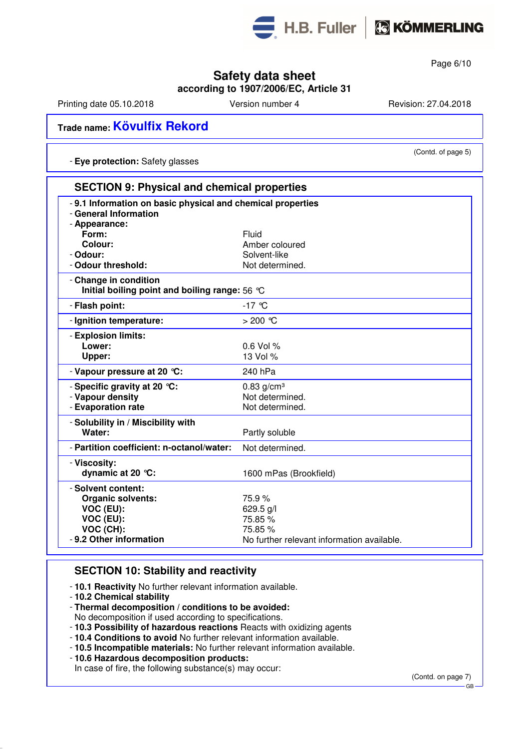

Page 6/10

## **Safety data sheet**

**according to 1907/2006/EC, Article 31**

Printing date 05.10.2018 Version number 4 Revision: 27.04.2018

(Contd. of page 5)

## **Trade name: Kövulfix Rekord**

- **Eye protection:** Safety glasses

| <b>SECTION 9: Physical and chemical properties</b>                       |                                                            |  |
|--------------------------------------------------------------------------|------------------------------------------------------------|--|
| - General Information<br>- Appearance:                                   | -9.1 Information on basic physical and chemical properties |  |
| Form:                                                                    | Fluid                                                      |  |
| Colour:                                                                  | Amber coloured                                             |  |
| - Odour:                                                                 | Solvent-like                                               |  |
| - Odour threshold:                                                       | Not determined.                                            |  |
| - Change in condition<br>Initial boiling point and boiling range: 56 °C  |                                                            |  |
| - Flash point:                                                           | $-17$ °C                                                   |  |
| - Ignition temperature:                                                  | $>200$ °C                                                  |  |
| - Explosion limits:                                                      |                                                            |  |
| Lower:                                                                   | $0.6$ Vol %                                                |  |
| Upper:                                                                   | 13 Vol %                                                   |  |
| - Vapour pressure at 20 °C:                                              | 240 hPa                                                    |  |
| - Specific gravity at 20 °C:                                             | $0.83$ g/cm <sup>3</sup>                                   |  |
| - Vapour density                                                         | Not determined.                                            |  |
| - Evaporation rate                                                       | Not determined.                                            |  |
| - Solubility in / Miscibility with                                       |                                                            |  |
| Water:                                                                   | Partly soluble                                             |  |
| - Partition coefficient: n-octanol/water:                                | Not determined.                                            |  |
| - Viscosity:<br>dynamic at 20 $°C$ :                                     | 1600 mPas (Brookfield)                                     |  |
| - Solvent content:<br><b>Organic solvents:</b><br>VOC (EU):<br>VOC (EU): | 75.9%<br>629.5 g/l<br>75.85 %                              |  |
| VOC (CH):                                                                | 75.85 %                                                    |  |
| - 9.2 Other information                                                  | No further relevant information available.                 |  |
|                                                                          |                                                            |  |

#### **SECTION 10: Stability and reactivity**

- **10.1 Reactivity** No further relevant information available.
- **10.2 Chemical stability**
- **Thermal decomposition / conditions to be avoided:**
- No decomposition if used according to specifications.
- **10.3 Possibility of hazardous reactions** Reacts with oxidizing agents
- **10.4 Conditions to avoid** No further relevant information available.
- **10.5 Incompatible materials:** No further relevant information available.
- **10.6 Hazardous decomposition products:** In case of fire, the following substance(s) may occur:

(Contd. on page 7)

GB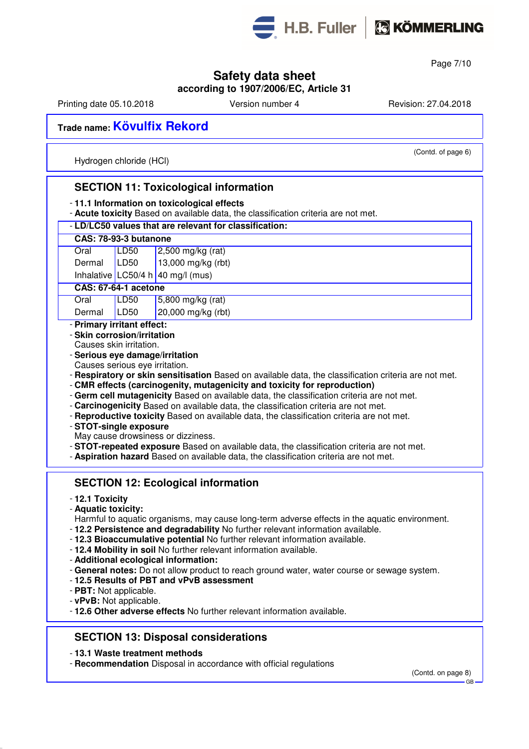

Page 7/10

### **Safety data sheet**

**according to 1907/2006/EC, Article 31**

Printing date 05.10.2018 **Version number 4** Revision: 27.04.2018

## **Trade name: Kövulfix Rekord**

Hydrogen chloride (HCl)

(Contd. of page 6)

### **SECTION 11: Toxicological information** - **11.1 Information on toxicological effects** - **Acute toxicity** Based on available data, the classification criteria are not met. - **LD/LC50 values that are relevant for classification: CAS: 78-93-3 butanone** Oral LD50 2,500 mg/kg (rat) Dermal  $\vert$  LD50  $\vert$  13,000 mg/kg (rbt) Inhalative LC50/4 h 40 mg/l (mus) **CAS: 67-64-1 acetone** Oral LD50 5,800 mg/kg (rat) Dermal LD50 20,000 mg/kg (rbt) - **Primary irritant effect:** - **Skin corrosion/irritation** Causes skin irritation. - **Serious eye damage/irritation** Causes serious eye irritation. - **Respiratory or skin sensitisation** Based on available data, the classification criteria are not met. - **CMR effects (carcinogenity, mutagenicity and toxicity for reproduction)** - **Germ cell mutagenicity** Based on available data, the classification criteria are not met. - **Carcinogenicity** Based on available data, the classification criteria are not met. - **Reproductive toxicity** Based on available data, the classification criteria are not met. - **STOT-single exposure** May cause drowsiness or dizziness. - **STOT-repeated exposure** Based on available data, the classification criteria are not met. - **Aspiration hazard** Based on available data, the classification criteria are not met. **SECTION 12: Ecological information** - **12.1 Toxicity** - **Aquatic toxicity:** Harmful to aquatic organisms, may cause long-term adverse effects in the aquatic environment. - **12.2 Persistence and degradability** No further relevant information available. - **12.3 Bioaccumulative potential** No further relevant information available. - **12.4 Mobility in soil** No further relevant information available.

- **Additional ecological information:**
- **General notes:** Do not allow product to reach ground water, water course or sewage system.
- **12.5 Results of PBT and vPvB assessment**
- **PBT:** Not applicable.
- **vPvB:** Not applicable.
- **12.6 Other adverse effects** No further relevant information available.

### **SECTION 13: Disposal considerations**

- **13.1 Waste treatment methods**
- **Recommendation** Disposal in accordance with official regulations

(Contd. on page 8) GB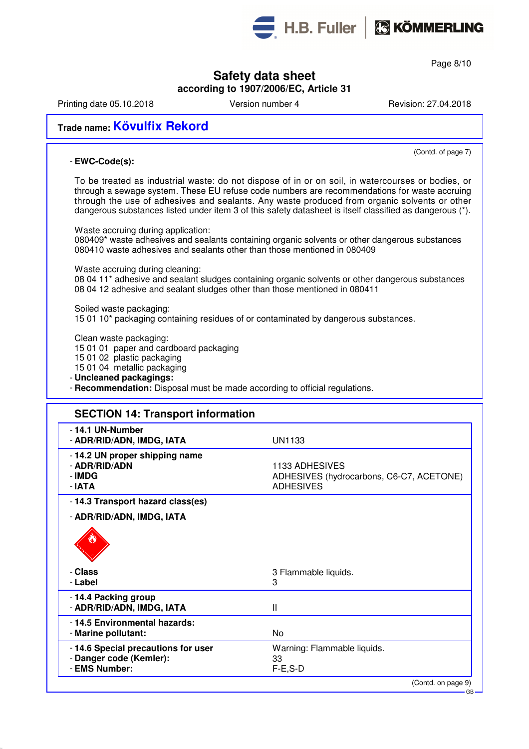

H.B. Fuller | C KÖMMERLING

Page 8/10

### **Safety data sheet**

**according to 1907/2006/EC, Article 31**

Printing date 05.10.2018 **Version number 4** Revision: 27.04.2018

## **Trade name: Kövulfix Rekord**

#### - **EWC-Code(s):**

(Contd. of page 7)

To be treated as industrial waste: do not dispose of in or on soil, in watercourses or bodies, or through a sewage system. These EU refuse code numbers are recommendations for waste accruing through the use of adhesives and sealants. Any waste produced from organic solvents or other dangerous substances listed under item 3 of this safety datasheet is itself classified as dangerous (\*).

Waste accruing during application: 080409\* waste adhesives and sealants containing organic solvents or other dangerous substances 080410 waste adhesives and sealants other than those mentioned in 080409

Waste accruing during cleaning:

08 04 11\* adhesive and sealant sludges containing organic solvents or other dangerous substances 08 04 12 adhesive and sealant sludges other than those mentioned in 080411

Soiled waste packaging: 15 01 10\* packaging containing residues of or contaminated by dangerous substances.

Clean waste packaging:

15 01 01 paper and cardboard packaging

15 01 02 plastic packaging

15 01 04 metallic packaging

- **Uncleaned packagings:**

- **Recommendation:** Disposal must be made according to official regulations.

| <b>SECTION 14: Transport information</b>                                       |                                                                                |
|--------------------------------------------------------------------------------|--------------------------------------------------------------------------------|
| - 14.1 UN-Number<br>- ADR/RID/ADN, IMDG, IATA                                  | <b>UN1133</b>                                                                  |
| - 14.2 UN proper shipping name<br>- ADR/RID/ADN<br>- IMDG<br>- IATA            | 1133 ADHESIVES<br>ADHESIVES (hydrocarbons, C6-C7, ACETONE)<br><b>ADHESIVES</b> |
| - 14.3 Transport hazard class(es)                                              |                                                                                |
| - ADR/RID/ADN, IMDG, IATA                                                      |                                                                                |
|                                                                                |                                                                                |
| - Class                                                                        | 3 Flammable liquids.                                                           |
| - Label                                                                        | 3                                                                              |
| -14.4 Packing group<br>- ADR/RID/ADN, IMDG, IATA                               | $\mathbf{I}$                                                                   |
| -14.5 Environmental hazards:<br>- Marine pollutant:                            | No.                                                                            |
| -14.6 Special precautions for user<br>- Danger code (Kemler):<br>- EMS Number: | Warning: Flammable liquids.<br>33<br>$F-E$ , $S-D$                             |
|                                                                                | (Contd. on page 9)                                                             |
|                                                                                | $GB -$                                                                         |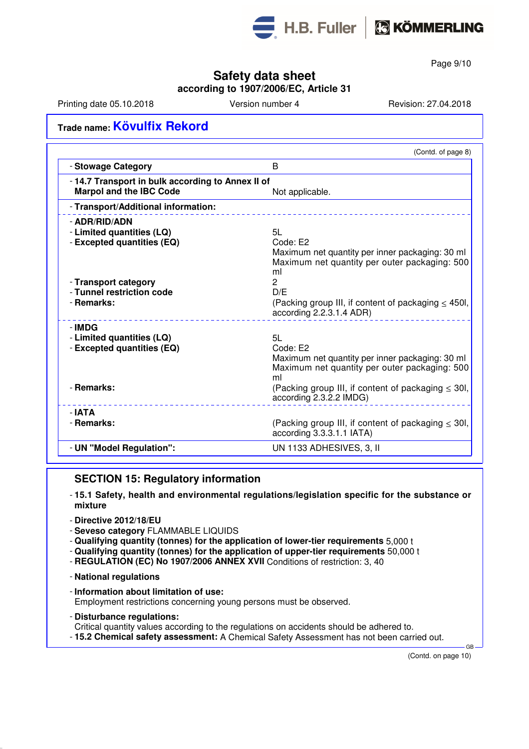

Page 9/10

## **Safety data sheet**

#### **according to 1907/2006/EC, Article 31**

Printing date 05.10.2018 Version number 4 Revision: 27.04.2018

## **Trade name: Kövulfix Rekord**

| B<br>-14.7 Transport in bulk according to Annex II of<br><b>Marpol and the IBC Code</b><br>Not applicable.<br>5L<br>Code: E2<br>ml<br>$\overline{2}$<br>D/E<br>according 2.2.3.1.4 ADR)<br>5L<br>Code: E2<br>ml<br>according 2.3.2.2 IMDG)<br>according 3.3.3.1.1 IATA) |                                                                                                                                             | (Contd. of page 8)                                                                                                                                           |
|-------------------------------------------------------------------------------------------------------------------------------------------------------------------------------------------------------------------------------------------------------------------------|---------------------------------------------------------------------------------------------------------------------------------------------|--------------------------------------------------------------------------------------------------------------------------------------------------------------|
|                                                                                                                                                                                                                                                                         | - Stowage Category                                                                                                                          |                                                                                                                                                              |
|                                                                                                                                                                                                                                                                         |                                                                                                                                             |                                                                                                                                                              |
|                                                                                                                                                                                                                                                                         | - Transport/Additional information:                                                                                                         |                                                                                                                                                              |
|                                                                                                                                                                                                                                                                         | - ADR/RID/ADN<br>- Limited quantities (LQ)<br>- Excepted quantities (EQ)<br>- Transport category<br>- Tunnel restriction code<br>- Remarks: | Maximum net quantity per inner packaging: 30 ml<br>Maximum net quantity per outer packaging: 500<br>(Packing group III, if content of packaging $\leq$ 450l, |
|                                                                                                                                                                                                                                                                         | - IMDG<br>- Limited quantities (LQ)<br>- Excepted quantities (EQ)                                                                           |                                                                                                                                                              |
|                                                                                                                                                                                                                                                                         | - Remarks:                                                                                                                                  | Maximum net quantity per inner packaging: 30 ml<br>Maximum net quantity per outer packaging: 500<br>(Packing group III, if content of packaging $\leq$ 30l,  |
|                                                                                                                                                                                                                                                                         | - IATA<br>- Remarks:                                                                                                                        | (Packing group III, if content of packaging $\leq$ 30I,                                                                                                      |
|                                                                                                                                                                                                                                                                         | - UN "Model Regulation":                                                                                                                    | UN 1133 ADHESIVES, 3, II                                                                                                                                     |

### **SECTION 15: Regulatory information**

- **15.1 Safety, health and environmental regulations/legislation specific for the substance or mixture**
- **Directive 2012/18/EU**
- **Seveso category** FLAMMABLE LIQUIDS
- **Qualifying quantity (tonnes) for the application of lower-tier requirements** 5,000 t
- **Qualifying quantity (tonnes) for the application of upper-tier requirements** 50,000 t
- **REGULATION (EC) No 1907/2006 ANNEX XVII** Conditions of restriction: 3, 40
- **National regulations**
- **Information about limitation of use:** Employment restrictions concerning young persons must be observed.
- **Disturbance regulations:**
- Critical quantity values according to the regulations on accidents should be adhered to.
- **15.2 Chemical safety assessment:** A Chemical Safety Assessment has not been carried out.

(Contd. on page 10)

GB